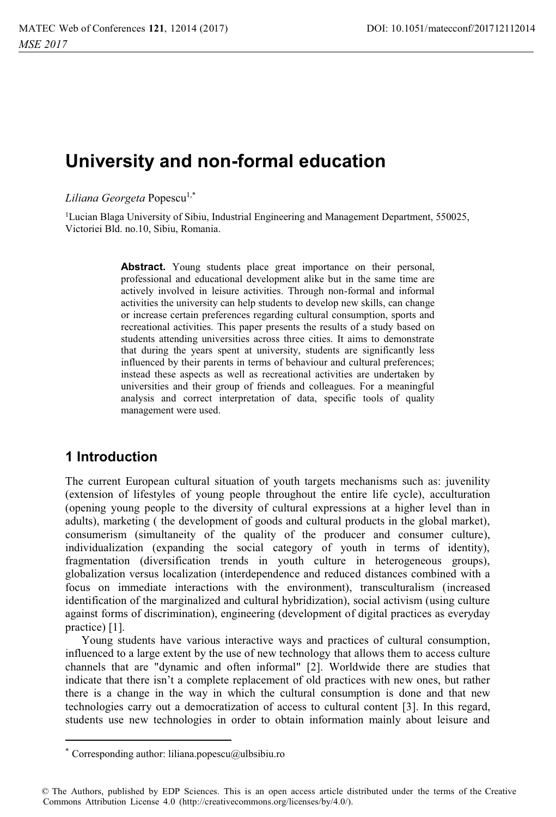# **University and non-formal education**

Liliana Georgeta Popescu<sup>1,\*</sup>

<sup>1</sup>Lucian Blaga University of Sibiu, Industrial Engineering and Management Department, 550025, Victoriei Bld. no.10, Sibiu, Romania.

> **Abstract.** Young students place great importance on their personal, professional and educational development alike but in the same time are actively involved in leisure activities. Through non-formal and informal activities the university can help students to develop new skills, can change or increase certain preferences regarding cultural consumption, sports and recreational activities. This paper presents the results of a study based on students attending universities across three cities. It aims to demonstrate that during the years spent at university, students are significantly less influenced by their parents in terms of behaviour and cultural preferences; instead these aspects as well as recreational activities are undertaken by universities and their group of friends and colleagues. For a meaningful analysis and correct interpretation of data, specific tools of quality management were used.

#### **1 Introduction**

 $\overline{a}$ 

The current European cultural situation of youth targets mechanisms such as: juvenility (extension of lifestyles of young people throughout the entire life cycle), acculturation (opening young people to the diversity of cultural expressions at a higher level than in adults), marketing ( the development of goods and cultural products in the global market), consumerism (simultaneity of the quality of the producer and consumer culture), individualization (expanding the social category of youth in terms of identity), fragmentation (diversification trends in youth culture in heterogeneous groups), globalization versus localization (interdependence and reduced distances combined with a focus on immediate interactions with the environment), transculturalism (increased identification of the marginalized and cultural hybridization), social activism (using culture against forms of discrimination), engineering (development of digital practices as everyday practice) [1].

Young students have various interactive ways and practices of cultural consumption, influenced to a large extent by the use of new technology that allows them to access culture channels that are "dynamic and often informal" [2]. Worldwide there are studies that indicate that there isn't a complete replacement of old practices with new ones, but rather there is a change in the way in which the cultural consumption is done and that new technologies carry out a democratization of access to cultural content [3]. In this regard, students use new technologies in order to obtain information mainly about leisure and

<sup>\*</sup> Corresponding author: liliana.popescu@ulbsibiu.ro

<sup>©</sup> The Authors, published by EDP Sciences. This is an open access article distributed under the terms of the Creative Commons Attribution License 4.0 (http://creativecommons.org/licenses/by/4.0/).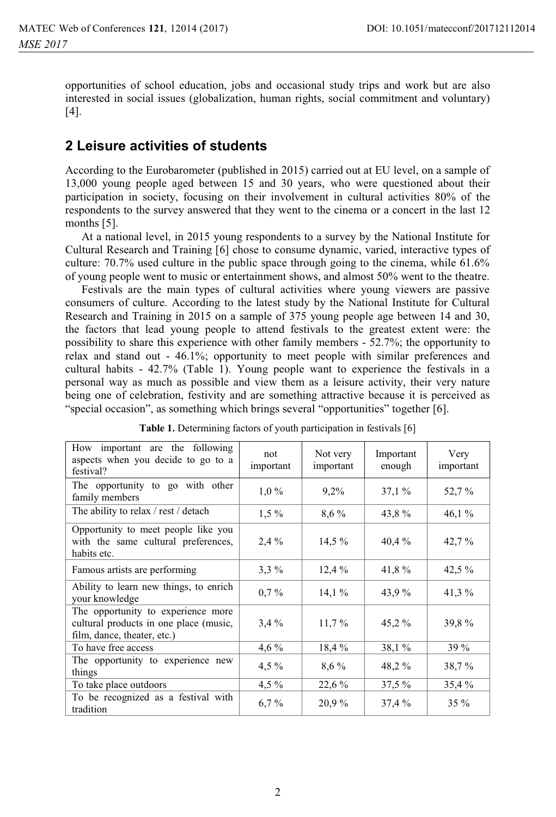opportunities of school education, jobs and occasional study trips and work but are also interested in social issues (globalization, human rights, social commitment and voluntary) [4].

# **2 Leisure activities of students**

According to the Eurobarometer (published in 2015) carried out at EU level, on a sample of 13,000 young people aged between 15 and 30 years, who were questioned about their participation in society, focusing on their involvement in cultural activities 80% of the respondents to the survey answered that they went to the cinema or a concert in the last 12 months [5].

At a national level, in 2015 young respondents to a survey by the National Institute for Cultural Research and Training [6] chose to consume dynamic, varied, interactive types of culture: 70.7% used culture in the public space through going to the cinema, while 61.6% of young people went to music or entertainment shows, and almost 50% went to the theatre.

Festivals are the main types of cultural activities where young viewers are passive consumers of culture. According to the latest study by the National Institute for Cultural Research and Training in 2015 on a sample of 375 young people age between 14 and 30, the factors that lead young people to attend festivals to the greatest extent were: the possibility to share this experience with other family members - 52.7%; the opportunity to relax and stand out - 46.1%; opportunity to meet people with similar preferences and cultural habits - 42.7% (Table 1). Young people want to experience the festivals in a personal way as much as possible and view them as a leisure activity, their very nature being one of celebration, festivity and are something attractive because it is perceived as "special occasion", as something which brings several "opportunities" together [6].

| How important are the following<br>aspects when you decide to go to a<br>festival?                          | not<br>important | Not very<br>important | Important<br>enough | Very<br>important |
|-------------------------------------------------------------------------------------------------------------|------------------|-----------------------|---------------------|-------------------|
| The opportunity to go with other<br>family members                                                          | $1,0\%$          | 9,2%                  | 37,1%               | 52,7 %            |
| The ability to relax / rest / detach                                                                        | $1,5\%$          | $8,6\%$               | 43,8%               | 46,1%             |
| Opportunity to meet people like you<br>with the same cultural preferences,<br>habits etc.                   | 2,4%             | $14,5\%$              | 40,4 %              | 42,7%             |
| Famous artists are performing                                                                               | $3,3\%$          | 12,4%                 | 41,8%               | 42,5 $%$          |
| Ability to learn new things, to enrich<br>vour knowledge                                                    | $0,7\%$          | $14.1\%$              | 43,9%               | 41,3 %            |
| The opportunity to experience more<br>cultural products in one place (music,<br>film, dance, theater, etc.) | $3.4\%$          | 11,7%                 | 45,2 %              | 39,8%             |
| To have free access                                                                                         | 4,6 $\%$         | 18,4%                 | 38,1 %              | $39\%$            |
| The opportunity to experience new<br>things                                                                 | $4,5\%$          | $8,6\%$               | 48,2 %              | 38,7 %            |
| To take place outdoors                                                                                      | $4,5\%$          | 22,6 %                | $37,5\%$            | 35,4%             |
| To be recognized as a festival with<br>tradition                                                            | 6,7%             | $20.9\%$              | 37,4%               | $35\%$            |

**Table 1.** Determining factors of youth participation in festivals [6]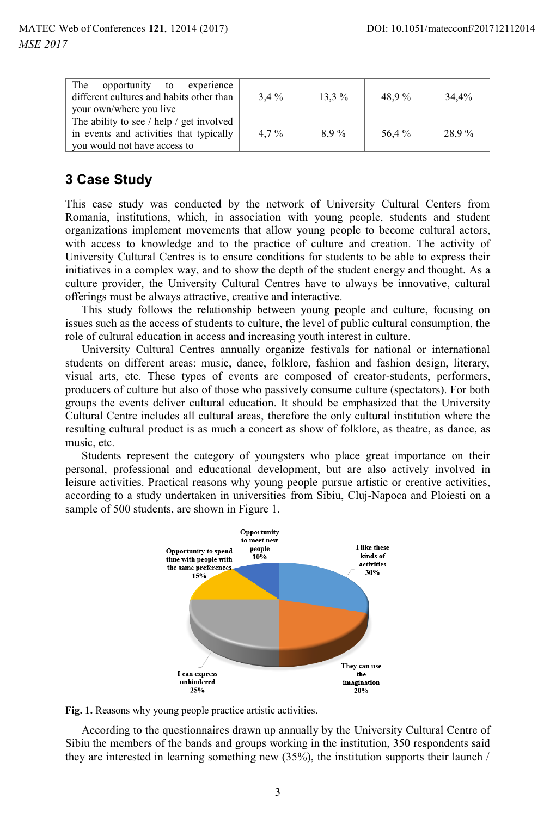| The<br>opportunity to experience<br>different cultures and habits other than<br>your own/where you live                 | $3.4\%$ | $13.3\%$ | 48.9%  | 34.4% |
|-------------------------------------------------------------------------------------------------------------------------|---------|----------|--------|-------|
| The ability to see $/$ help $/$ get involved<br>in events and activities that typically<br>you would not have access to | $4.7\%$ | $8.9\%$  | 56.4 % | 28.9% |

### **3 Case Study**

This case study was conducted by the network of University Cultural Centers from Romania, institutions, which, in association with young people, students and student organizations implement movements that allow young people to become cultural actors, with access to knowledge and to the practice of culture and creation. The activity of University Cultural Centres is to ensure conditions for students to be able to express their initiatives in a complex way, and to show the depth of the student energy and thought. As a culture provider, the University Cultural Centres have to always be innovative, cultural offerings must be always attractive, creative and interactive.

This study follows the relationship between young people and culture, focusing on issues such as the access of students to culture, the level of public cultural consumption, the role of cultural education in access and increasing youth interest in culture.

University Cultural Centres annually organize festivals for national or international students on different areas: music, dance, folklore, fashion and fashion design, literary, visual arts, etc. These types of events are composed of creator-students, performers, producers of culture but also of those who passively consume culture (spectators). For both groups the events deliver cultural education. It should be emphasized that the University Cultural Centre includes all cultural areas, therefore the only cultural institution where the resulting cultural product is as much a concert as show of folklore, as theatre, as dance, as music, etc.

Students represent the category of youngsters who place great importance on their personal, professional and educational development, but are also actively involved in leisure activities. Practical reasons why young people pursue artistic or creative activities, according to a study undertaken in universities from Sibiu, Cluj-Napoca and Ploiesti on a sample of 500 students, are shown in Figure 1.



**Fig. 1.** Reasons why young people practice artistic activities.

According to the questionnaires drawn up annually by the University Cultural Centre of Sibiu the members of the bands and groups working in the institution, 350 respondents said they are interested in learning something new (35%), the institution supports their launch /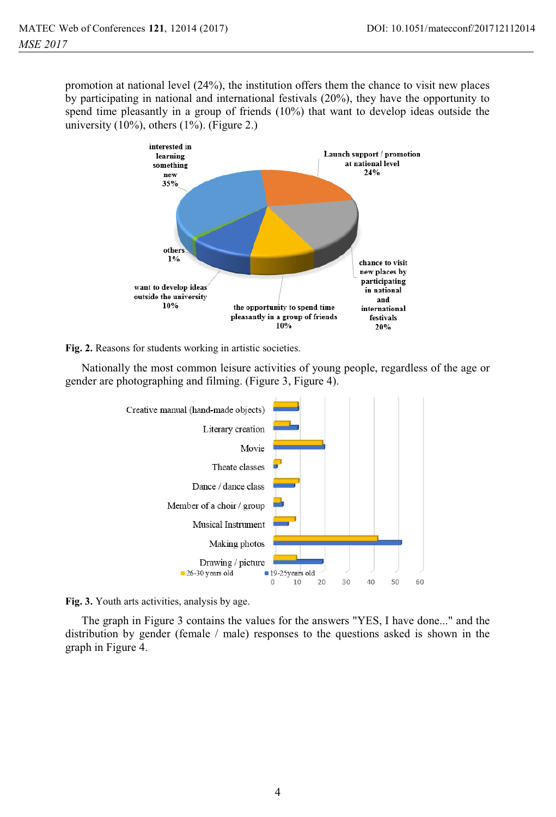promotion at national level (24%), the institution offers them the chance to visit new places by participating in national and international festivals (20%), they have the opportunity to spend time pleasantly in a group of friends (10%) that want to develop ideas outside the university  $(10\%)$ , others  $(1\%)$ . (Figure 2.)



**Fig. 2.** Reasons for students working in artistic societies.

Nationally the most common leisure activities of young people, regardless of the age or gender are photographing and filming. (Figure 3, Figure 4).



**Fig. 3.** Youth arts activities, analysis by age.

The graph in Figure 3 contains the values for the answers "YES, I have done..." and the distribution by gender (female / male) responses to the questions asked is shown in the graph in Figure 4.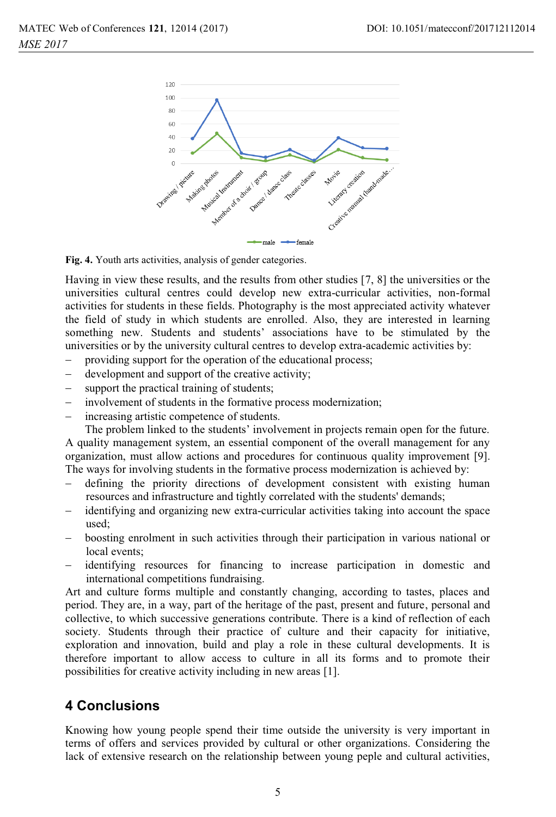

**Fig. 4.** Youth arts activities, analysis of gender categories.

Having in view these results, and the results from other studies [7, 8] the universities or the universities cultural centres could develop new extra-curricular activities, non-formal activities for students in these fields. Photography is the most appreciated activity whatever the field of study in which students are enrolled. Also, they are interested in learning something new. Students and students' associations have to be stimulated by the universities or by the university cultural centres to develop extra-academic activities by:

- providing support for the operation of the educational process;
- development and support of the creative activity;
- support the practical training of students;
- involvement of students in the formative process modernization;
- increasing artistic competence of students.

 The problem linked to the students' involvement in projects remain open for the future. A quality management system, an essential component of the overall management for any organization, must allow actions and procedures for continuous quality improvement [9]. The ways for involving students in the formative process modernization is achieved by:

- defining the priority directions of development consistent with existing human resources and infrastructure and tightly correlated with the students' demands;
- identifying and organizing new extra-curricular activities taking into account the space used;
- boosting enrolment in such activities through their participation in various national or local events;
- identifying resources for financing to increase participation in domestic and international competitions fundraising.

Art and culture forms multiple and constantly changing, according to tastes, places and period. They are, in a way, part of the heritage of the past, present and future, personal and collective, to which successive generations contribute. There is a kind of reflection of each society. Students through their practice of culture and their capacity for initiative, exploration and innovation, build and play a role in these cultural developments. It is therefore important to allow access to culture in all its forms and to promote their possibilities for creative activity including in new areas [1].

# **4 Conclusions**

Knowing how young people spend their time outside the university is very important in terms of offers and services provided by cultural or other organizations. Considering the lack of extensive research on the relationship between young peple and cultural activities,